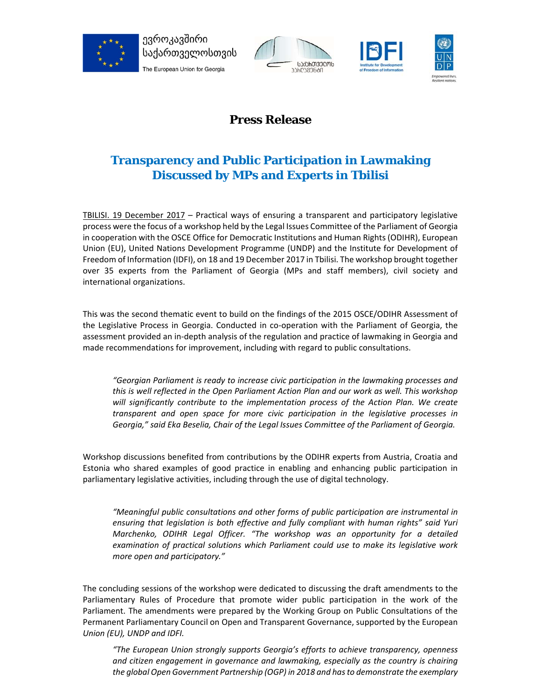





## **Press Release**

## **Transparency and Public Participation in Lawmaking Discussed by MPs and Experts in Tbilisi**

TBILISI. 19 December 2017 – Practical ways of ensuring a transparent and participatory legislative process were the focus of a workshop held by the Legal Issues Committee of the Parliament of Georgia in cooperation with the OSCE Office for Democratic Institutions and Human Rights (ODIHR), European Union (EU), United Nations Development Programme (UNDP) and the Institute for Development of Freedom of Information (IDFI), on 18 and 19 December 2017 in Tbilisi. The workshop brought together over 35 experts from the Parliament of Georgia (MPs and staff members), civil society and international organizations.

This was the second thematic event to build on the findings of the 2015 OSCE/ODIHR Assessment of the Legislative Process in Georgia. Conducted in co-operation with the Parliament of Georgia, the assessment provided an in-depth analysis of the regulation and practice of lawmaking in Georgia and made recommendations for improvement, including with regard to public consultations.

*"Georgian Parliament is ready to increase civic participation in the lawmaking processes and this is well reflected in the Open Parliament Action Plan and our work as well. This workshop*  will significantly contribute to the implementation process of the Action Plan. We create *transparent and open space for more civic participation in the legislative processes in Georgia," said Eka Beselia, Chair of the Legal Issues Committee of the Parliament of Georgia.* 

Workshop discussions benefited from contributions by the ODIHR experts from Austria, Croatia and Estonia who shared examples of good practice in enabling and enhancing public participation in parliamentary legislative activities, including through the use of digital technology.

*"Meaningful public consultations and other forms of public participation are instrumental in ensuring that legislation is both effective and fully compliant with human rights" said Yuri Marchenko, ODIHR Legal Officer. "The workshop was an opportunity for a detailed examination of practical solutions which Parliament could use to make its legislative work more open and participatory."* 

The concluding sessions of the workshop were dedicated to discussing the draft amendments to the Parliamentary Rules of Procedure that promote wider public participation in the work of the Parliament. The amendments were prepared by the Working Group on Public Consultations of the Permanent Parliamentary Council on Open and Transparent Governance, supported by the European *Union (EU), UNDP and IDFI.* 

*"The European Union strongly supports Georgia's efforts to achieve transparency, openness and citizen engagement in governance and lawmaking, especially as the country is chairing the global Open Government Partnership (OGP) in 2018 and has to demonstrate the exemplary*